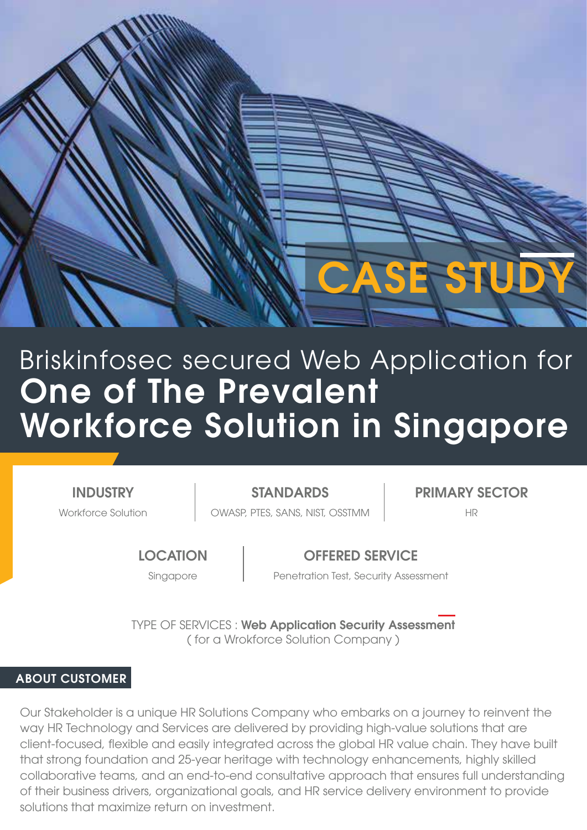

# One of The Prevalent Workforce Solution in Singapore Briskinfosec secured Web Application for

**INDUSTRY** 

Workforce Solution **Nation COWASP, PTES, SANS, NIST, OSSTMM** 

STANDARDS PRIMARY SECTOR

**LOCATION** 

# OFFERED SERVICE

Singapore **Penetration Test, Security Assessment** 

TYPE OF SERVICES : Web Application Security Assessment ( for a Wrokforce Solution Company )

## ABOUT CUSTOMER

Our Stakeholder is a unique HR Solutions Company who embarks on a journey to reinvent the way HR Technology and Services are delivered by providing high-value solutions that are client-focused, flexible and easily integrated across the global HR value chain. They have built that strong foundation and 25-year heritage with technology enhancements, highly skilled collaborative teams, and an end-to-end consultative approach that ensures full understanding of their business drivers, organizational goals, and HR service delivery environment to provide solutions that maximize return on investment.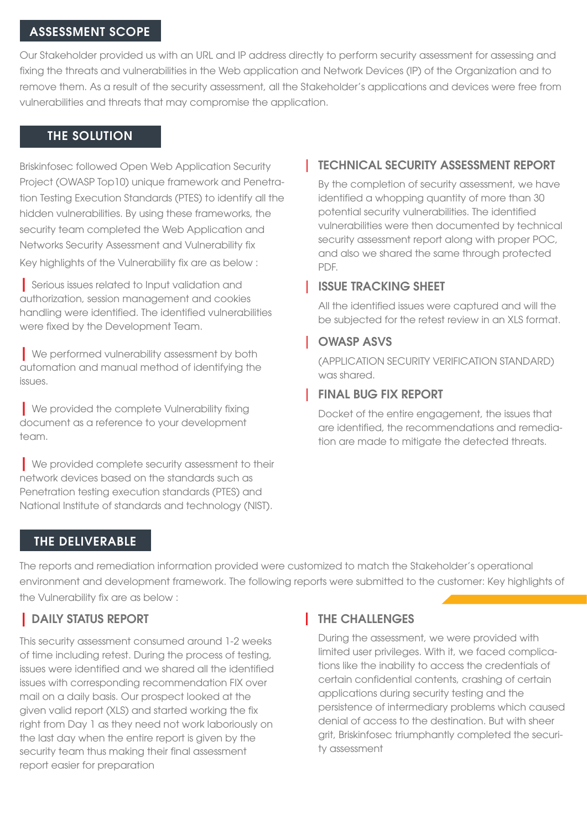#### ASSESSMENT SCOPE

Our Stakeholder provided us with an URL and IP address directly to perform security assessment for assessing and fixing the threats and vulnerabilities in the Web application and Network Devices (IP) of the Organization and to remove them. As a result of the security assessment, all the Stakeholder's applications and devices were free from vulnerabilities and threats that may compromise the application.

#### THE SOLUTION

Briskinfosec followed Open Web Application Security Project (OWASP Top10) unique framework and Penetration Testing Execution Standards (PTES) to identify all the hidden vulnerabilities. By using these frameworks, the security team completed the Web Application and Networks Security Assessment and Vulnerability fix Key highlights of the Vulnerability fix are as below :

| Serious issues related to Input validation and authorization, session management and cookies handling were identified. The identified vulnerabilities were fixed by the Development Team.

**Ne performed vulnerability assessment by both** automation and manual method of identifying the issues.

| We provided the complete Vulnerability fixing document as a reference to your development team.

**No provided complete security assessment to their** network devices based on the standards such as Penetration testing execution standards (PTES) and National Institute of standards and technology (NIST).

## TECHNICAL SECURITY ASSESSMENT REPORT

By the completion of security assessment, we have identified a whopping quantity of more than 30 potential security vulnerabilities. The identified vulnerabilities were then documented by technical security assessment report along with proper POC, and also we shared the same through protected PDF.

### **ISSUE TRACKING SHEET**

All the identified issues were captured and will the be subjected for the retest review in an XLS format.

## **OWASP ASVS**

(APPLICATION SECURITY VERIFICATION STANDARD) was shared.

## FINAL BUG FIX REPORT

Docket of the entire engagement, the issues that are identified, the recommendations and remediation are made to mitigate the detected threats.

## THE DELIVERABLE

The reports and remediation information provided were customized to match the Stakeholder's operational environment and development framework. The following reports were submitted to the customer: Key highlights of the Vulnerability fix are as below :

# | DAILY STATUS REPORT

This security assessment consumed around 1-2 weeks of time including retest. During the process of testing, issues were identified and we shared all the identified issues with corresponding recommendation FIX over mail on a daily basis. Our prospect looked at the given valid report (XLS) and started working the fix right from Day 1 as they need not work laboriously on the last day when the entire report is given by the security team thus making their final assessment report easier for preparation

# **THE CHALLENGES**

During the assessment, we were provided with limited user privileges. With it, we faced complications like the inability to access the credentials of certain confidential contents, crashing of certain applications during security testing and the persistence of intermediary problems which caused denial of access to the destination. But with sheer grit, Briskinfosec triumphantly completed the security assessment